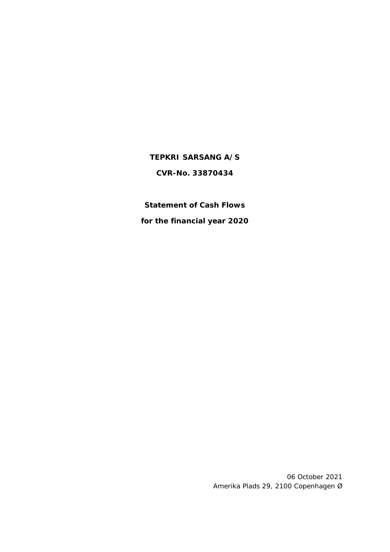# **TEPKRI SARSANG A/S CVR-No. 33870434**

**Statement of Cash Flows for the financial year 2020**

> 06 October 2021 Amerika Plads 29, 2100 Copenhagen Ø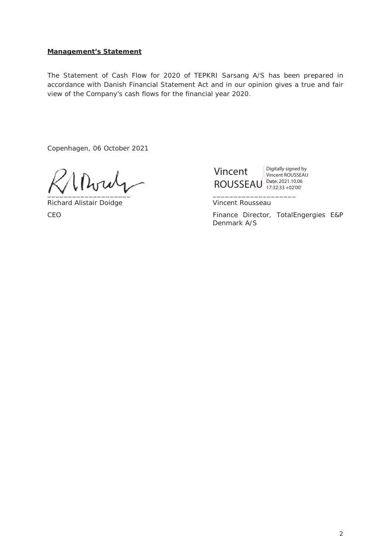## **Management's Statement**

The Statement of Cash Flow for 2020 of TEPKRI Sarsang A/S has been prepared in accordance with Danish Financial Statement Act and in our opinion gives a true and fair view of the Company's cash flows for the financial year 2020.

Copenhagen, 06 October 2021

 $\overline{\phantom{a}}$ 

Richard Alistair Doidge Vincent Rousseau



CEO **Finance Director, TotalEngergies E&P** Denmark A/S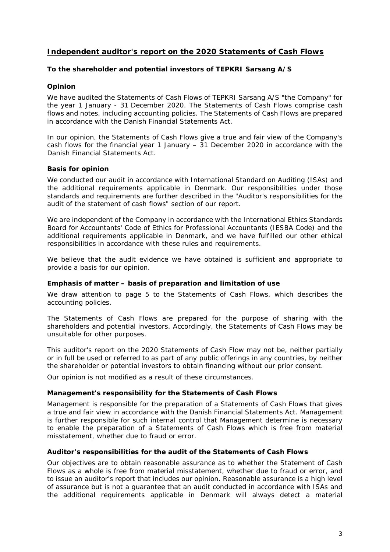# **Independent auditor's report on the 2020 Statements of Cash Flows**

### **To the shareholder and potential investors of TEPKRI Sarsang A/S**

### **Opinion**

We have audited the Statements of Cash Flows of TEPKRI Sarsang A/S "the Company" for the year 1 January - 31 December 2020. The Statements of Cash Flows comprise cash flows and notes, including accounting policies. The Statements of Cash Flows are prepared in accordance with the Danish Financial Statements Act.

In our opinion, the Statements of Cash Flows give a true and fair view of the Company's cash flows for the financial year 1 January – 31 December 2020 in accordance with the Danish Financial Statements Act.

### **Basis for opinion**

We conducted our audit in accordance with International Standard on Auditing (ISAs) and the additional requirements applicable in Denmark. Our responsibilities under those standards and requirements are further described in the "Auditor's responsibilities for the audit of the statement of cash flows" section of our report.

We are independent of the Company in accordance with the International Ethics Standards Board for Accountants' Code of Ethics for Professional Accountants (IESBA Code) and the additional requirements applicable in Denmark, and we have fulfilled our other ethical responsibilities in accordance with these rules and requirements.

We believe that the audit evidence we have obtained is sufficient and appropriate to provide a basis for our opinion.

#### *Emphasis of matter – basis of preparation and limitation of use*

We draw attention to page 5 to the Statements of Cash Flows, which describes the accounting policies.

The Statements of Cash Flows are prepared for the purpose of sharing with the shareholders and potential investors. Accordingly, the Statements of Cash Flows may be unsuitable for other purposes.

This auditor's report on the 2020 Statements of Cash Flow may not be, neither partially or in full be used or referred to as part of any public offerings in any countries, by neither the shareholder or potential investors to obtain financing without our prior consent.

Our opinion is not modified as a result of these circumstances.

#### **Management's responsibility for the Statements of Cash Flows**

Management is responsible for the preparation of a Statements of Cash Flows that gives a true and fair view in accordance with the Danish Financial Statements Act. Management is further responsible for such internal control that Management determine is necessary to enable the preparation of a Statements of Cash Flows which is free from material misstatement, whether due to fraud or error.

#### **Auditor's responsibilities for the audit of the Statements of Cash Flows**

Our objectives are to obtain reasonable assurance as to whether the Statement of Cash Flows as a whole is free from material misstatement, whether due to fraud or error, and to issue an auditor's report that includes our opinion. Reasonable assurance is a high level of assurance but is not a guarantee that an audit conducted in accordance with ISAs and the additional requirements applicable in Denmark will always detect a material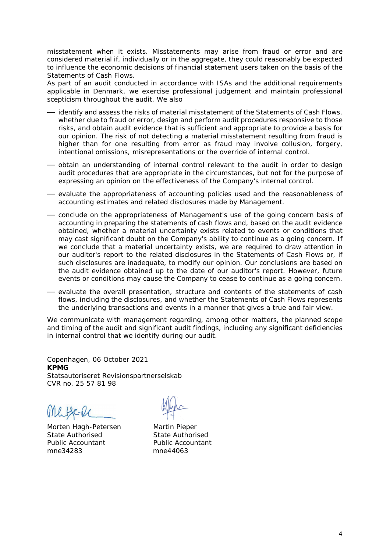misstatement when it exists. Misstatements may arise from fraud or error and are considered material if, individually or in the aggregate, they could reasonably be expected to influence the economic decisions of financial statement users taken on the basis of the Statements of Cash Flows.

As part of an audit conducted in accordance with ISAs and the additional requirements applicable in Denmark, we exercise professional judgement and maintain professional scepticism throughout the audit. We also

- identify and assess the risks of material misstatement of the Statements of Cash Flows, whether due to fraud or error, design and perform audit procedures responsive to those risks, and obtain audit evidence that is sufficient and appropriate to provide a basis for our opinion. The risk of not detecting a material misstatement resulting from fraud is higher than for one resulting from error as fraud may involve collusion, forgery, intentional omissions, misrepresentations or the override of internal control.
- obtain an understanding of internal control relevant to the audit in order to design audit procedures that are appropriate in the circumstances, but not for the purpose of expressing an opinion on the effectiveness of the Company's internal control.
- evaluate the appropriateness of accounting policies used and the reasonableness of accounting estimates and related disclosures made by Management.
- conclude on the appropriateness of Management's use of the going concern basis of accounting in preparing the statements of cash flows and, based on the audit evidence obtained, whether a material uncertainty exists related to events or conditions that may cast significant doubt on the Company's ability to continue as a going concern. If we conclude that a material uncertainty exists, we are required to draw attention in our auditor's report to the related disclosures in the Statements of Cash Flows or, if such disclosures are inadequate, to modify our opinion. Our conclusions are based on the audit evidence obtained up to the date of our auditor's report. However, future events or conditions may cause the Company to cease to continue as a going concern.
- evaluate the overall presentation, structure and contents of the statements of cash flows, including the disclosures, and whether the Statements of Cash Flows represents the underlying transactions and events in a manner that gives a true and fair view.

We communicate with management regarding, among other matters, the planned scope and timing of the audit and significant audit findings, including any significant deficiencies in internal control that we identify during our audit.

Copenhagen, 06 October 2021 **KPMG**  Statsautoriseret Revisionspartnerselskab CVR no. 25 57 81 98

Me Bell

Morten Høgh-Petersen Martin Pieper<br>State Authorised State Authori Public Accountant Public Accountant mne34283 mne44063

State Authorised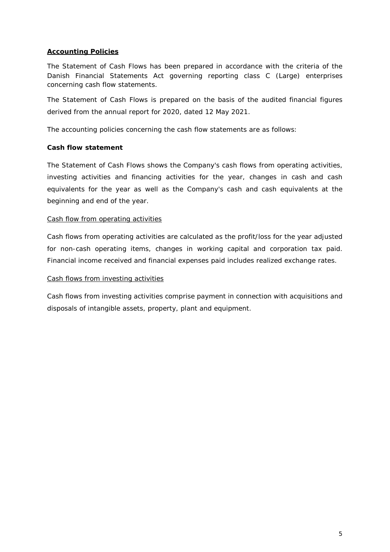## **Accounting Policies**

The Statement of Cash Flows has been prepared in accordance with the criteria of the Danish Financial Statements Act governing reporting class C (Large) enterprises concerning cash flow statements.

The Statement of Cash Flows is prepared on the basis of the audited financial figures derived from the annual report for 2020, dated 12 May 2021.

The accounting policies concerning the cash flow statements are as follows:

### **Cash flow statement**

The Statement of Cash Flows shows the Company's cash flows from operating activities, investing activities and financing activities for the year, changes in cash and cash equivalents for the year as well as the Company's cash and cash equivalents at the beginning and end of the year.

### Cash flow from operating activities

Cash flows from operating activities are calculated as the profit/loss for the year adjusted for non-cash operating items, changes in working capital and corporation tax paid. Financial income received and financial expenses paid includes realized exchange rates.

#### Cash flows from investing activities

Cash flows from investing activities comprise payment in connection with acquisitions and disposals of intangible assets, property, plant and equipment.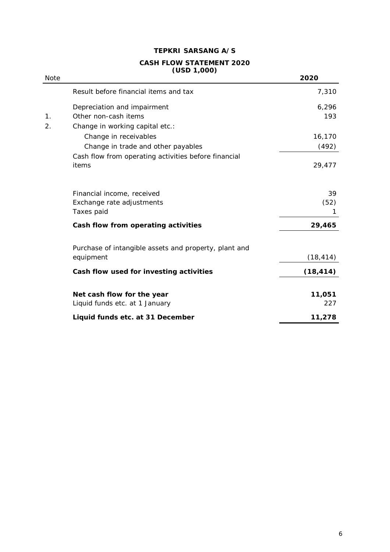# **TEPKRI SARSANG A/S**

#### **CASH FLOW STATEMENT 2020 (USD 1,000)**

| <b>Note</b> |                                                       | 2020      |
|-------------|-------------------------------------------------------|-----------|
|             | Result before financial items and tax                 | 7,310     |
|             | Depreciation and impairment                           | 6,296     |
| 1.          | Other non-cash items                                  | 193       |
| 2.          | Change in working capital etc.:                       |           |
|             | Change in receivables                                 | 16,170    |
|             | Change in trade and other payables                    | (492)     |
|             | Cash flow from operating activities before financial  |           |
|             | items                                                 | 29,477    |
|             | Financial income, received                            | 39        |
|             | Exchange rate adjustments                             | (52)      |
|             | Taxes paid                                            | 1         |
|             | Cash flow from operating activities                   | 29,465    |
|             | Purchase of intangible assets and property, plant and |           |
|             | equipment                                             | (18, 414) |
|             | Cash flow used for investing activities               | (18, 414) |
|             | Net cash flow for the year                            | 11,051    |
|             | Liquid funds etc. at 1 January                        | 227       |
|             | Liquid funds etc. at 31 December                      | 11,278    |